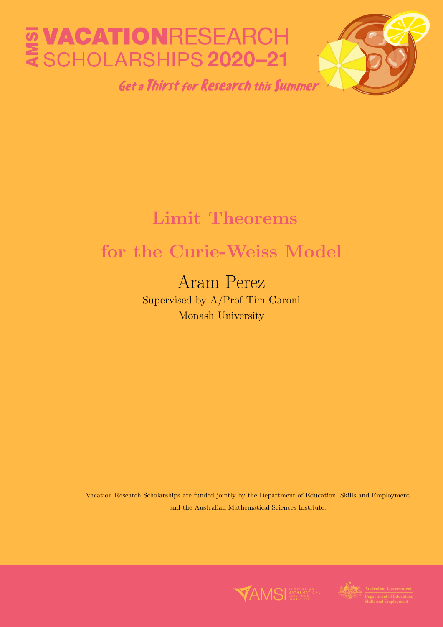# **E VACATIONRESEARCH<br>E SCHOLARSHIPS 2020-21**

**Get a Thirst for Research this Summer** 



# Limit Theorems

# for the Curie-Weiss Model

# Aram Perez

Supervised by A/Prof Tim Garoni Monash University

Vacation Research Scholarships are funded jointly by the Department of Education, Skills and Employment and the Australian Mathematical Sciences Institute.



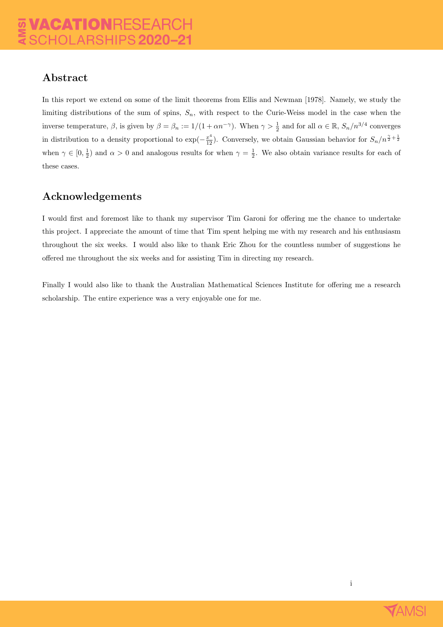## Abstract

In this report we extend on some of the limit theorems from Ellis and Newman [1978]. Namely, we study the limiting distributions of the sum of spins,  $S_n$ , with respect to the Curie-Weiss model in the case when the inverse temperature,  $\beta$ , is given by  $\beta = \beta_n := 1/(1 + \alpha n^{-\gamma})$ . When  $\gamma > \frac{1}{2}$  and for all  $\alpha \in \mathbb{R}$ ,  $S_n/n^{3/4}$  converges in distribution to a density proportional to  $\exp(-\frac{x^4}{12})$ . Conversely, we obtain Gaussian behavior for  $S_n/n^{\frac{\gamma}{2}+\frac{1}{2}}$ when  $\gamma \in [0, \frac{1}{2})$  and  $\alpha > 0$  and analogous results for when  $\gamma = \frac{1}{2}$ . We also obtain variance results for each of these cases.

## Acknowledgements

I would first and foremost like to thank my supervisor Tim Garoni for offering me the chance to undertake this project. I appreciate the amount of time that Tim spent helping me with my research and his enthusiasm throughout the six weeks. I would also like to thank Eric Zhou for the countless number of suggestions he offered me throughout the six weeks and for assisting Tim in directing my research.

Finally I would also like to thank the Australian Mathematical Sciences Institute for offering me a research scholarship. The entire experience was a very enjoyable one for me.



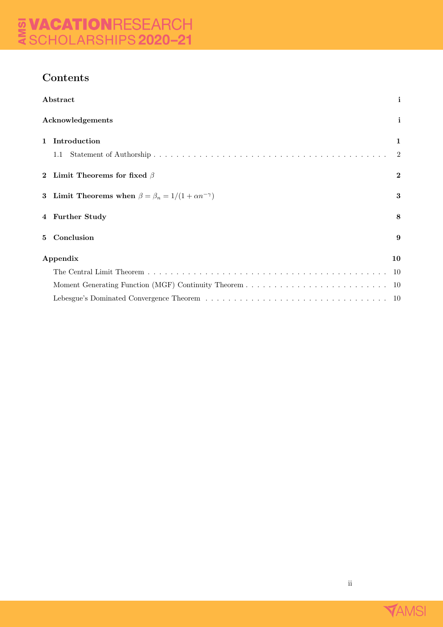# Contents

|             | Abstract                                                             | $\mathbf{i}$        |
|-------------|----------------------------------------------------------------------|---------------------|
|             | Acknowledgements                                                     |                     |
| $\mathbf 1$ | Introduction<br>1.1                                                  | 1<br>$\overline{2}$ |
|             | 2 Limit Theorems for fixed $\beta$                                   | $\bf{2}$            |
|             | 3 Limit Theorems when $\beta = \beta_n = 1/(1 + \alpha n^{-\gamma})$ | 3                   |
|             | 4 Further Study                                                      | 8                   |
|             | 5 Conclusion                                                         | 9                   |
|             | Appendix<br>10                                                       |                     |
|             |                                                                      | -10                 |
|             |                                                                      | -10                 |
|             |                                                                      | -10                 |



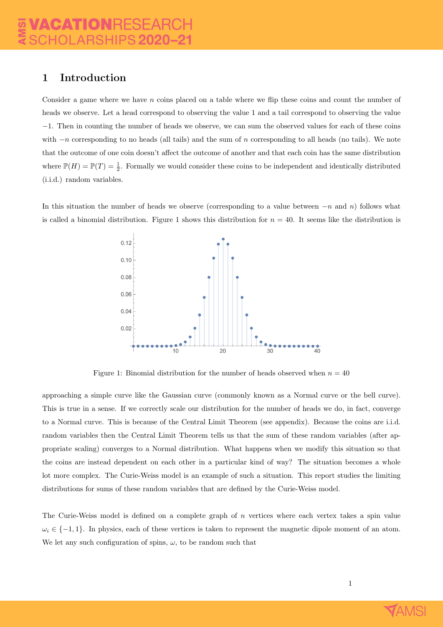#### 1 Introduction

Consider a game where we have n coins placed on a table where we flip these coins and count the number of heads we observe. Let a head correspond to observing the value 1 and a tail correspond to observing the value −1. Then in counting the number of heads we observe, we can sum the observed values for each of these coins with  $-n$  corresponding to no heads (all tails) and the sum of n corresponding to all heads (no tails). We note that the outcome of one coin doesn't affect the outcome of another and that each coin has the same distribution where  $\mathbb{P}(H) = \mathbb{P}(T) = \frac{1}{2}$ . Formally we would consider these coins to be independent and identically distributed (i.i.d.) random variables.

In this situation the number of heads we observe (corresponding to a value between  $-n$  and n) follows what is called a binomial distribution. Figure 1 shows this distribution for  $n = 40$ . It seems like the distribution is



Figure 1: Binomial distribution for the number of heads observed when  $n = 40$ 

approaching a simple curve like the Gaussian curve (commonly known as a Normal curve or the bell curve). This is true in a sense. If we correctly scale our distribution for the number of heads we do, in fact, converge to a Normal curve. This is because of the Central Limit Theorem (see appendix). Because the coins are i.i.d. random variables then the Central Limit Theorem tells us that the sum of these random variables (after appropriate scaling) converges to a Normal distribution. What happens when we modify this situation so that the coins are instead dependent on each other in a particular kind of way? The situation becomes a whole lot more complex. The Curie-Weiss model is an example of such a situation. This report studies the limiting distributions for sums of these random variables that are defined by the Curie-Weiss model.

The Curie-Weiss model is defined on a complete graph of  $n$  vertices where each vertex takes a spin value  $\omega_i \in \{-1, 1\}$ . In physics, each of these vertices is taken to represent the magnetic dipole moment of an atom. We let any such configuration of spins,  $\omega$ , to be random such that

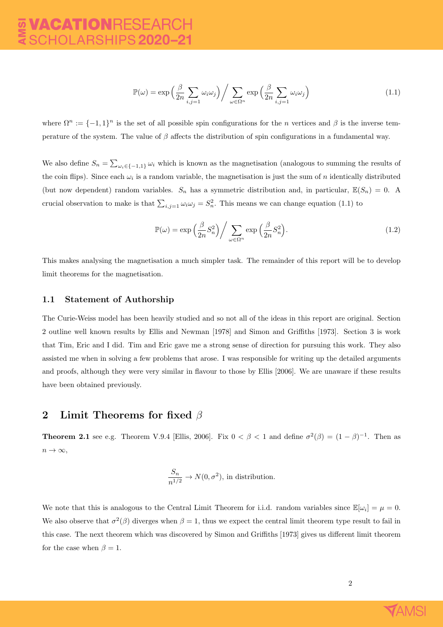$$
\mathbb{P}(\omega) = \exp\left(\frac{\beta}{2n} \sum_{i,j=1} \omega_i \omega_j\right) / \sum_{\omega \in \Omega^n} \exp\left(\frac{\beta}{2n} \sum_{i,j=1} \omega_i \omega_j\right)
$$
(1.1)

where  $\Omega^n := \{-1,1\}^n$  is the set of all possible spin configurations for the n vertices and  $\beta$  is the inverse temperature of the system. The value of  $\beta$  affects the distribution of spin configurations in a fundamental way.

We also define  $S_n = \sum_{\omega_i \in \{-1,1\}} \omega_i$  which is known as the magnetisation (analogous to summing the results of the coin flips). Since each  $\omega_i$  is a random variable, the magnetisation is just the sum of n identically distributed (but now dependent) random variables.  $S_n$  has a symmetric distribution and, in particular,  $\mathbb{E}(S_n) = 0$ . A crucial observation to make is that  $\sum_{i,j=1} \omega_i \omega_j = S_n^2$ . This means we can change equation (1.1) to

$$
\mathbb{P}(\omega) = \exp\left(\frac{\beta}{2n}S_n^2\right) / \sum_{\omega \in \Omega^n} \exp\left(\frac{\beta}{2n}S_n^2\right).
$$
\n(1.2)

This makes analysing the magnetisation a much simpler task. The remainder of this report will be to develop limit theorems for the magnetisation.

#### 1.1 Statement of Authorship

The Curie-Weiss model has been heavily studied and so not all of the ideas in this report are original. Section 2 outline well known results by Ellis and Newman [1978] and Simon and Griffiths [1973]. Section 3 is work that Tim, Eric and I did. Tim and Eric gave me a strong sense of direction for pursuing this work. They also assisted me when in solving a few problems that arose. I was responsible for writing up the detailed arguments and proofs, although they were very similar in flavour to those by Ellis [2006]. We are unaware if these results have been obtained previously.

#### 2 Limit Theorems for fixed  $\beta$

**Theorem 2.1** see e.g. Theorem V.9.4 [Ellis, 2006]. Fix  $0 < \beta < 1$  and define  $\sigma^2(\beta) = (1 - \beta)^{-1}$ . Then as  $n \to \infty$ ,

$$
\frac{S_n}{n^{1/2}} \to N(0, \sigma^2)
$$
, in distribution.

We note that this is analogous to the Central Limit Theorem for i.i.d. random variables since  $\mathbb{E}[\omega_i] = \mu = 0$ . We also observe that  $\sigma^2(\beta)$  diverges when  $\beta = 1$ , thus we expect the central limit theorem type result to fail in this case. The next theorem which was discovered by Simon and Griffiths [1973] gives us different limit theorem for the case when  $\beta = 1$ .

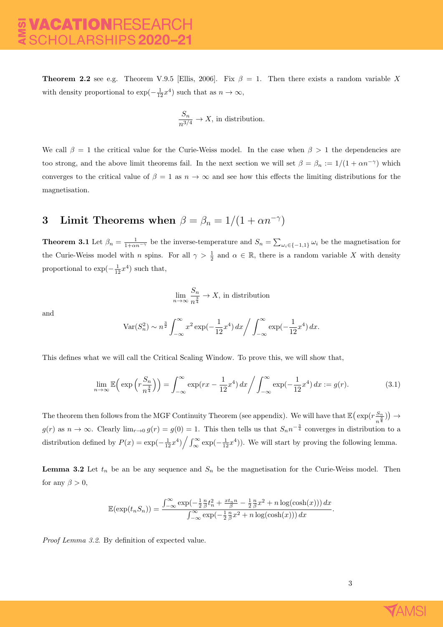**Theorem 2.2** see e.g. Theorem V.9.5 [Ellis, 2006]. Fix  $\beta = 1$ . Then there exists a random variable X with density proportional to  $\exp(-\frac{1}{12}x^4)$  such that as  $n \to \infty$ ,

$$
\frac{S_n}{n^{3/4}} \to X, \, \text{in distribution}.
$$

We call  $\beta = 1$  the critical value for the Curie-Weiss model. In the case when  $\beta > 1$  the dependencies are too strong, and the above limit theorems fail. In the next section we will set  $\beta = \beta_n := 1/(1 + \alpha n^{-\gamma})$  which converges to the critical value of  $\beta = 1$  as  $n \to \infty$  and see how this effects the limiting distributions for the magnetisation.

# 3 Limit Theorems when  $\beta = \beta_n = 1/(1 + \alpha n^{-\gamma})$

**Theorem 3.1** Let  $\beta_n = \frac{1}{1+\alpha n^{-\gamma}}$  be the inverse-temperature and  $S_n = \sum_{\omega_i \in \{-1,1\}} \omega_i$  be the magnetisation for the Curie-Weiss model with n spins. For all  $\gamma > \frac{1}{2}$  and  $\alpha \in \mathbb{R}$ , there is a random variable X with density proportional to  $\exp(-\frac{1}{12}x^4)$  such that,

$$
\lim_{n \to \infty} \frac{S_n}{n^{\frac{3}{4}}} \to X
$$
, in distribution

and

$$
\text{Var}(S_n^2) \sim n^{\frac{3}{2}} \int_{-\infty}^{\infty} x^2 \exp\left(-\frac{1}{12}x^4\right) dx \bigg/ \int_{-\infty}^{\infty} \exp\left(-\frac{1}{12}x^4\right) dx.
$$

This defines what we will call the Critical Scaling Window. To prove this, we will show that,

$$
\lim_{n \to \infty} \mathbb{E}\Big(\exp\Big(r\frac{S_n}{n^{\frac{3}{4}}}\Big)\Big) = \int_{-\infty}^{\infty} \exp(rx - \frac{1}{12}x^4) \, dx \Big/ \int_{-\infty}^{\infty} \exp\Big(-\frac{1}{12}x^4\Big) \, dx := g(r). \tag{3.1}
$$

The theorem then follows from the MGF Continuity Theorem (see appendix). We will have that  $\mathbb{E}(\exp(r\frac{S_n}{3}))$  $\frac{S_n}{n^{\frac{3}{4}}}\big)\big) \rightarrow$  $g(r)$  as  $n \to \infty$ . Clearly  $\lim_{r\to 0} g(r) = g(0) = 1$ . This then tells us that  $S_n n^{-\frac{3}{4}}$  converges in distribution to a distribution defined by  $P(x) = \exp(-\frac{1}{12}x^4) / \int_{\infty}^{\infty} \exp(-\frac{1}{12}x^4)$ . We will start by proving the following lemma.

**Lemma 3.2** Let  $t_n$  be an be any sequence and  $S_n$  be the magnetisation for the Curie-Weiss model. Then for any  $\beta > 0$ ,

$$
\mathbb{E}(\exp(t_n S_n)) = \frac{\int_{-\infty}^{\infty} \exp(-\frac{1}{2}\frac{n}{\beta}t_n^2 + \frac{xt_n n}{\beta} - \frac{1}{2}\frac{n}{\beta}x^2 + n\log(\cosh(x))) dx}{\int_{-\infty}^{\infty} \exp(-\frac{1}{2}\frac{n}{\beta}x^2 + n\log(\cosh(x))) dx}.
$$

Proof Lemma 3.2. By definition of expected value.

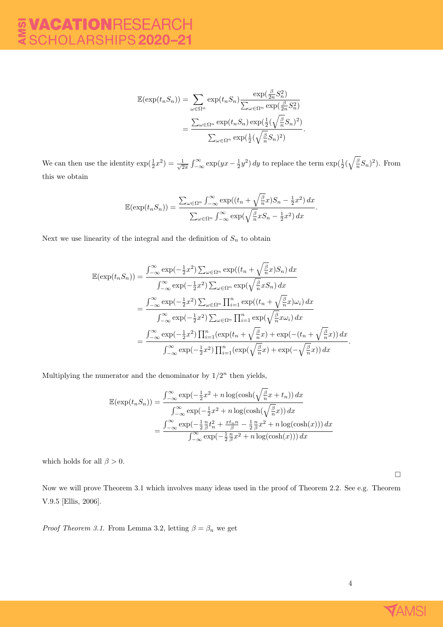$$
\mathbb{E}(\exp(t_n S_n)) = \sum_{\omega \in \Omega^n} \exp(t_n S_n) \frac{\exp(\frac{\beta}{2n} S_n^2)}{\sum_{\omega \in \Omega^n} \exp(\frac{\beta}{2n} S_n^2)}
$$

$$
= \frac{\sum_{\omega \in \Omega^n} \exp(t_n S_n) \exp(\frac{1}{2}(\sqrt{\frac{\beta}{n}} S_n)^2)}{\sum_{\omega \in \Omega^n} \exp(\frac{1}{2}(\sqrt{\frac{\beta}{n}} S_n)^2)}.
$$

We can then use the identity  $\exp(\frac{1}{2}x^2) = \frac{1}{\sqrt{2}}$  $\frac{1}{2\pi} \int_{-\infty}^{\infty} \exp(yx - \frac{1}{2}y^2) dy$  to replace the term  $\exp(\frac{1}{2}(\sqrt{\frac{\beta}{n}}S_n)^2)$ . From this we obtain

$$
\mathbb{E}(\exp(t_n S_n)) = \frac{\sum_{\omega \in \Omega^n} \int_{-\infty}^{\infty} \exp((t_n + \sqrt{\frac{\beta}{n}}x)S_n - \frac{1}{2}x^2) dx}{\sum_{\omega \in \Omega^n} \int_{-\infty}^{\infty} \exp(\sqrt{\frac{\beta}{n}}xS_n - \frac{1}{2}x^2) dx}.
$$

Next we use linearity of the integral and the definition of  $S_n$  to obtain

$$
\mathbb{E}(\exp(t_n S_n)) = \frac{\int_{-\infty}^{\infty} \exp(-\frac{1}{2}x^2) \sum_{\omega \in \Omega^n} \exp((t_n + \sqrt{\frac{\beta}{n}}x)S_n) dx}{\int_{-\infty}^{\infty} \exp(-\frac{1}{2}x^2) \sum_{\omega \in \Omega^n} \exp(\sqrt{\frac{\beta}{n}}xS_n) dx}
$$
  

$$
= \frac{\int_{-\infty}^{\infty} \exp(-\frac{1}{2}x^2) \sum_{\omega \in \Omega^n} \prod_{i=1}^n \exp((t_n + \sqrt{\frac{\beta}{n}}x)\omega_i) dx}{\int_{-\infty}^{\infty} \exp(-\frac{1}{2}x^2) \sum_{\omega \in \Omega^n} \prod_{i=1}^n \exp(\sqrt{\frac{\beta}{n}}x\omega_i) dx}
$$
  

$$
= \frac{\int_{-\infty}^{\infty} \exp(-\frac{1}{2}x^2) \prod_{i=1}^n (\exp(t_n + \sqrt{\frac{\beta}{n}}x) + \exp(-(t_n + \sqrt{\frac{\beta}{n}}x)) dx}{\int_{-\infty}^{\infty} \exp(-\frac{1}{2}x^2) \prod_{i=1}^n (\exp(\sqrt{\frac{\beta}{n}}x) + \exp(-\sqrt{\frac{\beta}{n}}x)) dx}.
$$

Multiplying the numerator and the denominator by  $1/2^n$  then yields,

$$
\mathbb{E}(\exp(t_n S_n)) = \frac{\int_{-\infty}^{\infty} \exp(-\frac{1}{2}x^2 + n \log(\cosh(\sqrt{\frac{\beta}{n}}x + t_n)) dx}{\int_{-\infty}^{\infty} \exp(-\frac{1}{2}x^2 + n \log(\cosh(\sqrt{\frac{\beta}{n}}x)) dx}
$$

$$
= \frac{\int_{-\infty}^{\infty} \exp(-\frac{1}{2}\frac{n}{\beta}t_n^2 + \frac{xt_n n}{\beta} - \frac{1}{2}\frac{n}{\beta}x^2 + n \log(\cosh(x))) dx}{\int_{-\infty}^{\infty} \exp(-\frac{1}{2}\frac{n}{\beta}x^2 + n \log(\cosh(x))) dx}
$$

which holds for all  $\beta > 0$ .

Now we will prove Theorem 3.1 which involves many ideas used in the proof of Theorem 2.2. See e.g. Theorem V.9.5 [Ellis, 2006].

*Proof Theorem 3.1.* From Lemma 3.2, letting  $\beta = \beta_n$  we get



 $\Box$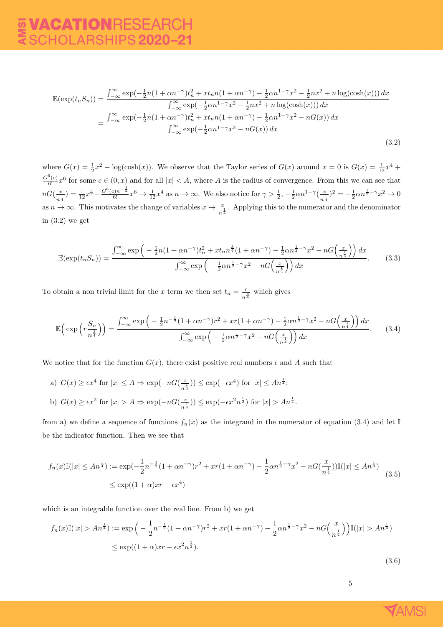$$
\mathbb{E}(\exp(t_n S_n)) = \frac{\int_{-\infty}^{\infty} \exp(-\frac{1}{2}n(1+\alpha n^{-\gamma})t_n^2 + xt_n n(1+\alpha n^{-\gamma}) - \frac{1}{2}\alpha n^{1-\gamma}x^2 - \frac{1}{2}nx^2 + n\log(\cosh(x))) dx}{\int_{-\infty}^{\infty} \exp(-\frac{1}{2}\alpha n^{1-\gamma}x^2 - \frac{1}{2}nx^2 + n\log(\cosh(x))) dx}
$$

$$
= \frac{\int_{-\infty}^{\infty} \exp(-\frac{1}{2}n(1+\alpha n^{-\gamma})t_n^2 + xt_n n(1+\alpha n^{-\gamma}) - \frac{1}{2}\alpha n^{1-\gamma}x^2 - nG(x)) dx}{\int_{-\infty}^{\infty} \exp(-\frac{1}{2}\alpha n^{1-\gamma}x^2 - nG(x)) dx}
$$
(3.2)

where  $G(x) = \frac{1}{2}x^2 - \log(\cosh(x))$ . We observe that the Taylor series of  $G(x)$  around  $x = 0$  is  $G(x) = \frac{1}{12}x^4 +$  $\frac{G^6(c)}{6!}x^6$  for some  $c \in (0, x)$  and for all  $|x| < A$ , where A is the radius of convergence. From this we can see that  $nG(\frac{x}{-1})$  $(\frac{x}{n^{\frac{1}{4}}}) = \frac{1}{12}x^4 + \frac{G^6(c)n^{-\frac{1}{2}}}{6!}x^6 \to \frac{1}{12}x^4$  as  $n \to \infty$ . We also notice for  $\gamma > \frac{1}{2}$ ,  $-\frac{1}{2}\alpha n^{1-\gamma}(\frac{x}{n^{\frac{1}{2}}})$  $(\frac{x}{n^{\frac{1}{4}}})^2 = -\frac{1}{2}\alpha n^{\frac{1}{2}-\gamma}x^2 \to 0$ as  $n \to \infty$ . This motivates the change of variables  $x \to \frac{x}{n^{\frac{1}{4}}}$ . Applying this to the numerator and the denominator in (3.2) we get

$$
\mathbb{E}(\exp(t_n S_n)) = \frac{\int_{-\infty}^{\infty} \exp\left(-\frac{1}{2}n(1+\alpha n^{-\gamma})t_n^2 + xt_n n^{\frac{3}{4}}(1+\alpha n^{-\gamma}) - \frac{1}{2}\alpha n^{\frac{1}{2}-\gamma}x^2 - nG\left(\frac{x}{n^{\frac{1}{4}}}\right)\right)dx}{\int_{-\infty}^{\infty} \exp\left(-\frac{1}{2}\alpha n^{\frac{1}{2}-\gamma}x^2 - nG\left(\frac{x}{n^{\frac{1}{4}}}\right)\right)dx}.
$$
 (3.3)

To obtain a non trivial limit for the x term we then set  $t_n = \frac{r}{2}$  $\frac{r}{n^{\frac{3}{4}}}$  which gives

$$
\mathbb{E}\left(\exp\left(r\frac{S_n}{n^{\frac{3}{4}}}\right)\right) = \frac{\int_{-\infty}^{\infty} \exp\left(-\frac{1}{2}n^{-\frac{1}{2}}(1+\alpha n^{-\gamma})r^2 + xr(1+\alpha n^{-\gamma}) - \frac{1}{2}\alpha n^{\frac{1}{2}-\gamma}x^2 - nG\left(\frac{x}{n^{\frac{1}{4}}}\right)\right)dx}{\int_{-\infty}^{\infty} \exp\left(-\frac{1}{2}\alpha n^{\frac{1}{2}-\gamma}x^2 - nG\left(\frac{x}{n^{\frac{1}{4}}}\right)\right)dx}.
$$
 (3.4)

We notice that for the function  $G(x)$ , there exist positive real numbers  $\epsilon$  and A such that

a)  $G(x) \geq \epsilon x^4$  for  $|x| \leq A \Rightarrow \exp(-nG(\frac{x}{\epsilon})$  $\left(\frac{x}{n^{\frac{1}{4}}}\right)$ )  $\leq$  exp( $-\epsilon x^4$ ) for  $|x| \leq An^{\frac{1}{4}};$ b)  $G(x) \geq \epsilon x^2$  for  $|x| > A \Rightarrow \exp(-nG(\frac{x}{\epsilon})$  $(\frac{x}{n^{\frac{1}{4}}})$ )  $\leq$  exp $(-\epsilon x^2 n^{\frac{1}{2}})$  for  $|x| > An^{\frac{1}{4}}$ .

from a) we define a sequence of functions  $f_n(x)$  as the integrand in the numerator of equation (3.4) and let I be the indicator function. Then we see that

$$
f_n(x)\mathbb{I}(|x| \le An^{\frac{1}{4}}) := \exp(-\frac{1}{2}n^{-\frac{1}{2}}(1+\alpha n^{-\gamma})r^2 + xr(1+\alpha n^{-\gamma}) - \frac{1}{2}\alpha n^{\frac{1}{2}-\gamma}x^2 - nG(\frac{x}{n^{\frac{1}{4}}}))\mathbb{I}(|x| \le An^{\frac{1}{4}})
$$
  
 
$$
\le \exp((1+\alpha)xr - \epsilon x^4)
$$
 (3.5)

which is an integrable function over the real line. From b) we get

$$
f_n(x)\mathbb{I}(|x| > An^{\frac{1}{4}}) := \exp\left(-\frac{1}{2}n^{-\frac{1}{2}}(1+\alpha n^{-\gamma})r^2 + xr(1+\alpha n^{-\gamma}) - \frac{1}{2}\alpha n^{\frac{1}{2}-\gamma}x^2 - nG\left(\frac{x}{n^{\frac{1}{4}}}\right)\mathbb{I}(|x| > An^{\frac{1}{4}})\right)
$$
  
\$\leq\$ exp((1+\alpha)xr - \epsilon x^2n^{\frac{1}{2}}).

(3.6)

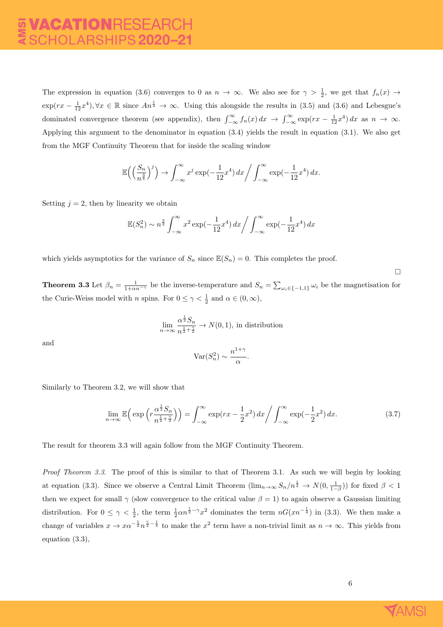The expression in equation (3.6) converges to 0 as  $n \to \infty$ . We also see for  $\gamma > \frac{1}{2}$ , we get that  $f_n(x) \to$  $\exp(rx - \frac{1}{12}x^4), \forall x \in \mathbb{R}$  since  $An^{\frac{1}{4}} \to \infty$ . Using this alongside the results in (3.5) and (3.6) and Lebesgue's dominated convergence theorem (see appendix), then  $\int_{-\infty}^{\infty} f_n(x) dx \to \int_{-\infty}^{\infty} \exp(rx - \frac{1}{12}x^4) dx$  as  $n \to \infty$ . Applying this argument to the denominator in equation (3.4) yields the result in equation (3.1). We also get from the MGF Continuity Theorem that for inside the scaling window

$$
\mathbb{E}\Big(\Big(\frac{S_n}{n^{\frac{3}{4}}}\Big)^j\Big) \to \int_{-\infty}^{\infty} x^j \exp\left(-\frac{1}{12}x^4\right) dx \Bigg/ \int_{-\infty}^{\infty} \exp\left(-\frac{1}{12}x^4\right) dx.
$$

Setting  $j = 2$ , then by linearity we obtain

$$
\mathbb{E}(S_n^2) \sim n^{\frac{3}{2}} \int_{-\infty}^{\infty} x^2 \exp(-\frac{1}{12}x^4) \, dx \bigg/ \int_{-\infty}^{\infty} \exp(-\frac{1}{12}x^4) \, dx
$$

which yields asymptotics for the variance of  $S_n$  since  $\mathbb{E}(S_n) = 0$ . This completes the proof.

**Theorem 3.3** Let  $\beta_n = \frac{1}{1+\alpha n^{-\gamma}}$  be the inverse-temperature and  $S_n = \sum_{\omega_i \in \{-1,1\}} \omega_i$  be the magnetisation for the Curie-Weiss model with *n* spins. For  $0 \le \gamma < \frac{1}{2}$  and  $\alpha \in (0, \infty)$ ,

$$
\lim_{n \to \infty} \frac{\alpha^{\frac{1}{2}} S_n}{n^{\frac{1}{2} + \frac{\gamma}{2}}} \to N(0, 1),
$$
 in distribution

and

$$
\text{Var}(S_n^2) \sim \frac{n^{1+\gamma}}{\alpha}.
$$

Similarly to Theorem 3.2, we will show that

$$
\lim_{n \to \infty} \mathbb{E}\Big(\exp\Big(r\frac{\alpha^{\frac{1}{2}}S_n}{n^{\frac{1}{2}+\frac{\gamma}{2}}}\Big)\Big) = \int_{-\infty}^{\infty} \exp(rx - \frac{1}{2}x^2) \, dx \Big/ \int_{-\infty}^{\infty} \exp\Big(-\frac{1}{2}x^2\Big) \, dx. \tag{3.7}
$$

The result for theorem 3.3 will again follow from the MGF Continuity Theorem.

Proof Theorem 3.3. The proof of this is similar to that of Theorem 3.1. As such we will begin by looking at equation (3.3). Since we observe a Central Limit Theorem  $(\lim_{n\to\infty} S_n/n^{\frac{1}{2}} \to N(0,\frac{1}{1-\beta}))$  for fixed  $\beta < 1$ then we expect for small  $\gamma$  (slow convergence to the critical value  $\beta = 1$ ) to again observe a Gaussian limiting distribution. For  $0 \leq \gamma < \frac{1}{2}$ , the term  $\frac{1}{2}\alpha n^{\frac{1}{2}-\gamma}x^2$  dominates the term  $nG(xn^{-\frac{1}{4}})$  in (3.3). We then make a change of variables  $x \to x\alpha^{-\frac{1}{2}}n^{\frac{\gamma}{2}-\frac{1}{4}}$  to make the  $x^2$  term have a non-trivial limit as  $n \to \infty$ . This yields from equation (3.3),



 $\Box$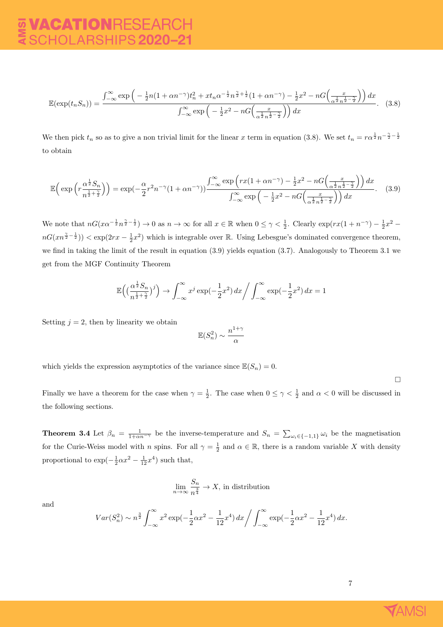$$
\mathbb{E}(\exp(t_n S_n)) = \frac{\int_{-\infty}^{\infty} \exp\left(-\frac{1}{2}n(1+\alpha n^{-\gamma})t_n^2 + xt_n \alpha^{-\frac{1}{2}}n^{\frac{\gamma}{2}+\frac{1}{2}}(1+\alpha n^{-\gamma}) - \frac{1}{2}x^2 - nG\left(\frac{x}{\alpha^{\frac{1}{2}}n^{\frac{1}{2}-\frac{\gamma}{2}}}\right)\right)dx}{\int_{-\infty}^{\infty} \exp\left(-\frac{1}{2}x^2 - nG\left(\frac{x}{\alpha^{\frac{1}{2}}n^{\frac{1}{2}-\frac{\gamma}{2}}}\right)\right)dx}.
$$
 (3.8)

We then pick  $t_n$  so as to give a non trivial limit for the linear x term in equation (3.8). We set  $t_n = r\alpha^{\frac{1}{2}}n^{-\frac{\gamma}{2}-\frac{1}{2}}$ to obtain

$$
\mathbb{E}\left(\exp\left(r\frac{\alpha^{\frac{1}{2}}S_n}{n^{\frac{1}{2}+\frac{\gamma}{2}}}\right)\right) = \exp(-\frac{\alpha}{2}r^2n^{-\gamma}(1+\alpha n^{-\gamma}))\frac{\int_{-\infty}^{\infty}\exp\left(rx(1+\alpha n^{-\gamma}) - \frac{1}{2}x^2 - nG\left(\frac{x}{\alpha^{\frac{1}{2}}n^{\frac{1}{2}-\frac{\gamma}{2}}}\right)\right)dx}{\int_{-\infty}^{\infty}\exp\left(-\frac{1}{2}x^2 - nG\left(\frac{x}{\alpha^{\frac{1}{2}}n^{\frac{1}{2}-\frac{\gamma}{2}}}\right)\right)dx}.
$$
 (3.9)

We note that  $nG(x\alpha^{-\frac{1}{2}}n^{\frac{\gamma}{2}-\frac{1}{2}}) \to 0$  as  $n \to \infty$  for all  $x \in \mathbb{R}$  when  $0 \leq \gamma < \frac{1}{2}$ . Clearly  $\exp(rx(1+n^{-\gamma})-\frac{1}{2}x^2-\frac{1}{2}x^2)$  $nG(xn^{\frac{\gamma}{2}-\frac{1}{2}})) < \exp(2rx - \frac{1}{2}x^2)$  which is integrable over R. Using Lebesgue's dominated convergence theorem, we find in taking the limit of the result in equation (3.9) yields equation (3.7). Analogously to Theorem 3.1 we get from the MGF Continuity Theorem

$$
\mathbb{E}\left(\left(\frac{\alpha^{\frac{1}{2}}S_n}{n^{\frac{1}{2}+\frac{\gamma}{2}}}\right)^j\right) \to \int_{-\infty}^{\infty} x^j \exp\left(-\frac{1}{2}x^2\right) dx \Bigg/ \int_{-\infty}^{\infty} \exp\left(-\frac{1}{2}x^2\right) dx = 1
$$

Setting  $j = 2$ , then by linearity we obtain

$$
\mathbb{E}(S_n^2) \sim \frac{n^{1+\gamma}}{\alpha}
$$

which yields the expression asymptotics of the variance since  $\mathbb{E}(S_n) = 0$ .

 $\Box$ 

Finally we have a theorem for the case when  $\gamma = \frac{1}{2}$ . The case when  $0 \le \gamma < \frac{1}{2}$  and  $\alpha < 0$  will be discussed in the following sections.

**Theorem 3.4** Let  $\beta_n = \frac{1}{1+\alpha n^{-\gamma}}$  be the inverse-temperature and  $S_n = \sum_{\omega_i \in \{-1,1\}} \omega_i$  be the magnetisation for the Curie-Weiss model with n spins. For all  $\gamma = \frac{1}{2}$  and  $\alpha \in \mathbb{R}$ , there is a random variable X with density proportional to  $\exp(-\frac{1}{2}\alpha x^2 - \frac{1}{12}x^4)$  such that,

$$
\lim_{n \to \infty} \frac{S_n}{n^{\frac{3}{4}}} \to X
$$
, in distribution

and

$$
Var(S_n^2) \sim n^{\frac{3}{2}} \int_{-\infty}^{\infty} x^2 \exp\left(-\frac{1}{2}\alpha x^2 - \frac{1}{12}x^4\right) dx \bigg/ \int_{-\infty}^{\infty} \exp\left(-\frac{1}{2}\alpha x^2 - \frac{1}{12}x^4\right) dx.
$$

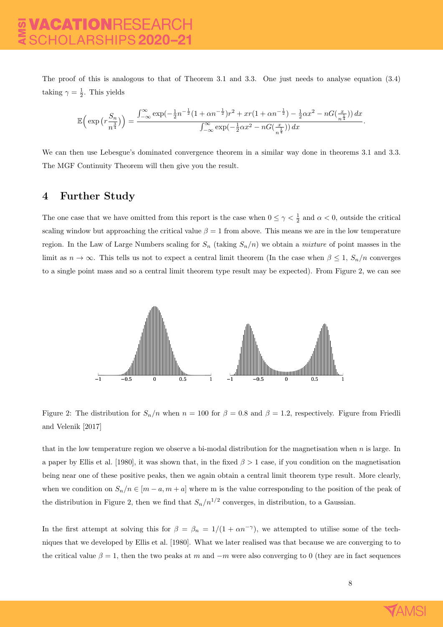The proof of this is analogous to that of Theorem 3.1 and 3.3. One just needs to analyse equation (3.4) taking  $\gamma = \frac{1}{2}$ . This yields

$$
\mathbb{E}\Big(\exp\big(r\frac{S_n}{n^{\frac{3}{4}}}\big)\Big) = \frac{\int_{-\infty}^{\infty} \exp\bigl(-\frac{1}{2}n^{-\frac{1}{2}}(1+\alpha n^{-\frac{1}{2}})r^2 + xr(1+\alpha n^{-\frac{1}{2}}) - \frac{1}{2}\alpha x^2 - nG\bigl(\frac{x}{n^{\frac{1}{4}}}\bigr)\bigl) dx}{\int_{-\infty}^{\infty} \exp\bigl(-\frac{1}{2}\alpha x^2 - nG\bigl(\frac{x}{n^{\frac{1}{4}}}\bigr)\bigr) dx}.
$$

We can then use Lebesgue's dominated convergence theorem in a similar way done in theorems 3.1 and 3.3. The MGF Continuity Theorem will then give you the result.

#### 4 Further Study

The one case that we have omitted from this report is the case when  $0 \leq \gamma < \frac{1}{2}$  and  $\alpha < 0$ , outside the critical scaling window but approaching the critical value  $\beta = 1$  from above. This means we are in the low temperature region. In the Law of Large Numbers scaling for  $S_n$  (taking  $S_n/n$ ) we obtain a *mixture* of point masses in the limit as  $n \to \infty$ . This tells us not to expect a central limit theorem (In the case when  $\beta \leq 1$ ,  $S_n/n$  converges to a single point mass and so a central limit theorem type result may be expected). From Figure 2, we can see



Figure 2: The distribution for  $S_n/n$  when  $n = 100$  for  $\beta = 0.8$  and  $\beta = 1.2$ , respectively. Figure from Friedli and Velenik [2017]

that in the low temperature region we observe a bi-modal distribution for the magnetisation when n is large. In a paper by Ellis et al. [1980], it was shown that, in the fixed  $\beta > 1$  case, if you condition on the magnetisation being near one of these positive peaks, then we again obtain a central limit theorem type result. More clearly, when we condition on  $S_n/n \in [m-a, m+a]$  where m is the value corresponding to the position of the peak of the distribution in Figure 2, then we find that  $S_n/n^{1/2}$  converges, in distribution, to a Gaussian.

In the first attempt at solving this for  $\beta = \beta_n = 1/(1 + \alpha n^{-\gamma})$ , we attempted to utilise some of the techniques that we developed by Ellis et al. [1980]. What we later realised was that because we are converging to to the critical value  $\beta = 1$ , then the two peaks at m and  $-m$  were also converging to 0 (they are in fact sequences

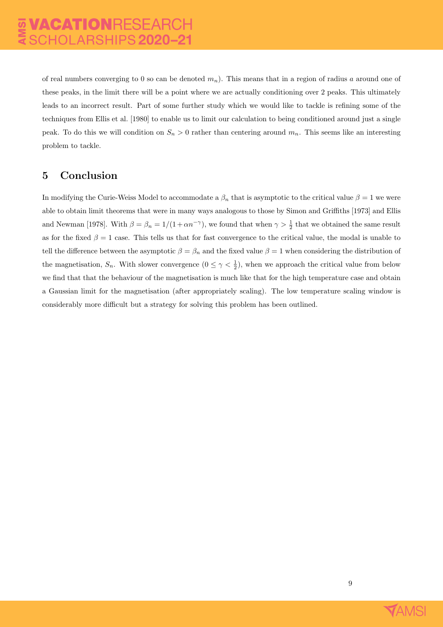of real numbers converging to 0 so can be denoted  $m_n$ ). This means that in a region of radius a around one of these peaks, in the limit there will be a point where we are actually conditioning over 2 peaks. This ultimately leads to an incorrect result. Part of some further study which we would like to tackle is refining some of the techniques from Ellis et al. [1980] to enable us to limit our calculation to being conditioned around just a single peak. To do this we will condition on  $S_n > 0$  rather than centering around  $m_n$ . This seems like an interesting problem to tackle.

### 5 Conclusion

In modifying the Curie-Weiss Model to accommodate a  $\beta_n$  that is asymptotic to the critical value  $\beta = 1$  we were able to obtain limit theorems that were in many ways analogous to those by Simon and Griffiths [1973] and Ellis and Newman [1978]. With  $\beta = \beta_n = 1/(1 + \alpha n^{-\gamma})$ , we found that when  $\gamma > \frac{1}{2}$  that we obtained the same result as for the fixed  $\beta = 1$  case. This tells us that for fast convergence to the critical value, the modal is unable to tell the difference between the asymptotic  $\beta = \beta_n$  and the fixed value  $\beta = 1$  when considering the distribution of the magnetisation,  $S_n$ . With slower convergence  $(0 \leq \gamma < \frac{1}{2})$ , when we approach the critical value from below we find that that the behaviour of the magnetisation is much like that for the high temperature case and obtain a Gaussian limit for the magnetisation (after appropriately scaling). The low temperature scaling window is considerably more difficult but a strategy for solving this problem has been outlined.

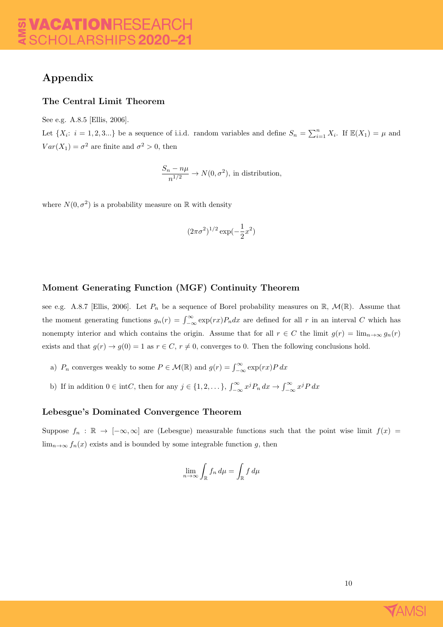# Appendix

#### The Central Limit Theorem

See e.g. A.8.5 [Ellis, 2006].

Let  $\{X_i: i = 1, 2, 3...\}$  be a sequence of i.i.d. random variables and define  $S_n = \sum_{i=1}^n X_i$ . If  $\mathbb{E}(X_1) = \mu$  and  $Var(X_1) = \sigma^2$  are finite and  $\sigma^2 > 0$ , then

$$
\frac{S_n - n\mu}{n^{1/2}} \to N(0, \sigma^2)
$$
, in distribution,

where  $N(0, \sigma^2)$  is a probability measure on R with density

$$
(2\pi\sigma^2)^{1/2}\exp(-\frac{1}{2}x^2)
$$

#### Moment Generating Function (MGF) Continuity Theorem

see e.g. A.8.7 [Ellis, 2006]. Let  $P_n$  be a sequence of Borel probability measures on R,  $\mathcal{M}(\mathbb{R})$ . Assume that the moment generating functions  $g_n(r) = \int_{-\infty}^{\infty} \exp(rx) P_n dx$  are defined for all r in an interval C which has nonempty interior and which contains the origin. Assume that for all  $r \in C$  the limit  $g(r) = \lim_{n\to\infty} g_n(r)$ exists and that  $g(r) \to g(0) = 1$  as  $r \in C$ ,  $r \neq 0$ , converges to 0. Then the following conclusions hold.

- a)  $P_n$  converges weakly to some  $P \in \mathcal{M}(\mathbb{R})$  and  $g(r) = \int_{-\infty}^{\infty} \exp(rx) P dx$
- b) If in addition  $0 \in \text{int}C$ , then for any  $j \in \{1, 2, \dots\}$ ,  $\int_{-\infty}^{\infty} x^j P_n dx \to \int_{-\infty}^{\infty} x^j P dx$

#### Lebesgue's Dominated Convergence Theorem

Suppose  $f_n : \mathbb{R} \to [-\infty, \infty]$  are (Lebesgue) measurable functions such that the point wise limit  $f(x)$  $\lim_{n\to\infty} f_n(x)$  exists and is bounded by some integrable function g, then

$$
\lim_{n \to \infty} \int_{\mathbb{R}} f_n \, d\mu = \int_{\mathbb{R}} f \, d\mu
$$